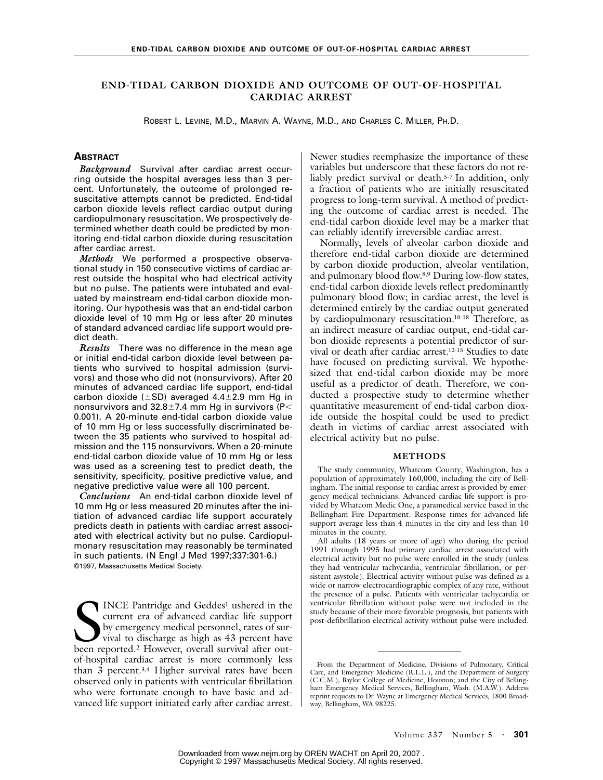## **END-TIDAL CARBON DIOXIDE AND OUTCOME OF OUT-OF-HOSPITAL CARDIAC ARREST**

ROBERT L. LEVINE, M.D., MARVIN A. WAYNE, M.D., AND CHARLES C. MILLER, PH.D.

# **ABSTRACT**

*Background* Survival after cardiac arrest occurring outside the hospital averages less than 3 percent. Unfortunately, the outcome of prolonged resuscitative attempts cannot be predicted. End-tidal carbon dioxide levels reflect cardiac output during cardiopulmonary resuscitation. We prospectively determined whether death could be predicted by monitoring end-tidal carbon dioxide during resuscitation after cardiac arrest.

*Methods* We performed a prospective observational study in 150 consecutive victims of cardiac arrest outside the hospital who had electrical activity but no pulse. The patients were intubated and evaluated by mainstream end-tidal carbon dioxide monitoring. Our hypothesis was that an end-tidal carbon dioxide level of 10 mm Hg or less after 20 minutes of standard advanced cardiac life support would predict death.

*Results* There was no difference in the mean age or initial end-tidal carbon dioxide level between patients who survived to hospital admission (survivors) and those who did not (nonsurvivors). After 20 minutes of advanced cardiac life support, end-tidal carbon dioxide ( $\pm$ SD) averaged 4.4 $\pm$ 2.9 mm Hg in nonsurvivors and  $32.8 \pm 7.4$  mm Hg in survivors (P< 0.001). A 20-minute end-tidal carbon dioxide value of 10 mm Hg or less successfully discriminated between the 35 patients who survived to hospital admission and the 115 nonsurvivors. When a 20-minute end-tidal carbon dioxide value of 10 mm Hg or less was used as a screening test to predict death, the sensitivity, specificity, positive predictive value, and negative predictive value were all 100 percent.

*Conclusions* An end-tidal carbon dioxide level of 10 mm Hg or less measured 20 minutes after the initiation of advanced cardiac life support accurately predicts death in patients with cardiac arrest associated with electrical activity but no pulse. Cardiopulmonary resuscitation may reasonably be terminated in such patients. (N Engl J Med 1997;337:301-6.) ©1997, Massachusetts Medical Society.

INCE Pantridge and Geddes<sup>1</sup> ushered in the current era of advanced cardiac life support by emergency medical personnel, rates of survival to discharge as high as 43 percent have INCE Pantridge and Geddes<sup>1</sup> ushered in the current era of advanced cardiac life support by emergency medical personnel, rates of survival to discharge as high as 43 percent have been reported.<sup>2</sup> However, overall survival of-hospital cardiac arrest is more commonly less than 3 percent.3,4 Higher survival rates have been observed only in patients with ventricular fibrillation who were fortunate enough to have basic and advanced life support initiated early after cardiac arrest. Newer studies reemphasize the importance of these variables but underscore that these factors do not reliably predict survival or death.5-7 In addition, only a fraction of patients who are initially resuscitated progress to long-term survival. A method of predicting the outcome of cardiac arrest is needed. The end-tidal carbon dioxide level may be a marker that can reliably identify irreversible cardiac arrest.

Normally, levels of alveolar carbon dioxide and therefore end-tidal carbon dioxide are determined by carbon dioxide production, alveolar ventilation, and pulmonary blood flow.8,9 During low-flow states, end-tidal carbon dioxide levels reflect predominantly pulmonary blood flow; in cardiac arrest, the level is determined entirely by the cardiac output generated by cardiopulmonary resuscitation.10-18 Therefore, as an indirect measure of cardiac output, end-tidal carbon dioxide represents a potential predictor of survival or death after cardiac arrest.12-15 Studies to date have focused on predicting survival. We hypothesized that end-tidal carbon dioxide may be more useful as a predictor of death. Therefore, we conducted a prospective study to determine whether quantitative measurement of end-tidal carbon dioxide outside the hospital could be used to predict death in victims of cardiac arrest associated with electrical activity but no pulse.

#### **METHODS**

The study community, Whatcom County, Washington, has a population of approximately 160,000, including the city of Bellingham. The initial response to cardiac arrest is provided by emergency medical technicians. Advanced cardiac life support is provided by Whatcom Medic One, a paramedical service based in the Bellingham Fire Department. Response times for advanced life support average less than 4 minutes in the city and less than 10 minutes in the county.

All adults (18 years or more of age) who during the period 1991 through 1995 had primary cardiac arrest associated with electrical activity but no pulse were enrolled in the study (unless they had ventricular tachycardia, ventricular fibrillation, or persistent asystole). Electrical activity without pulse was defined as a wide or narrow electrocardiographic complex of any rate, without the presence of a pulse. Patients with ventricular tachycardia or ventricular fibrillation without pulse were not included in the study because of their more favorable prognosis, but patients with post-defibrillation electrical activity without pulse were included.

From the Department of Medicine, Divisions of Pulmonary, Critical Care, and Emergency Medicine (R.L.L.), and the Department of Surgery (C.C.M.), Baylor College of Medicine, Houston; and the City of Bellingham Emergency Medical Services, Bellingham, Wash. (M.A.W.). Address reprint requests to Dr. Wayne at Emergency Medical Services, 1800 Broadway, Bellingham, WA 98225.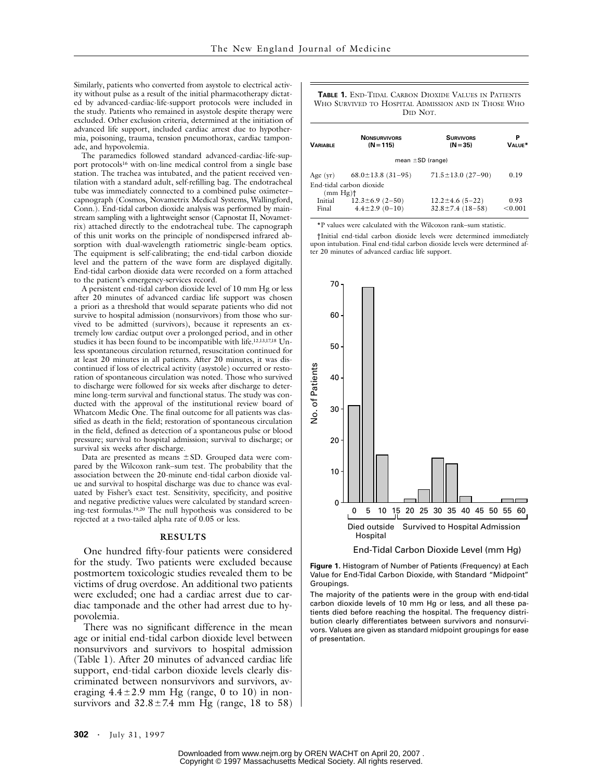Similarly, patients who converted from asystole to electrical activity without pulse as a result of the initial pharmacotherapy dictated by advanced-cardiac-life-support protocols were included in the study. Patients who remained in asystole despite therapy were excluded. Other exclusion criteria, determined at the initiation of advanced life support, included cardiac arrest due to hypothermia, poisoning, trauma, tension pneumothorax, cardiac tamponade, and hypovolemia.

The paramedics followed standard advanced-cardiac-life-support protocols<sup>16</sup> with on-line medical control from a single base station. The trachea was intubated, and the patient received ventilation with a standard adult, self-refilling bag. The endotracheal tube was immediately connected to a combined pulse oximeter– capnograph (Cosmos, Novametrix Medical Systems, Wallingford, Conn.). End-tidal carbon dioxide analysis was performed by mainstream sampling with a lightweight sensor (Capnostat II, Novametrix) attached directly to the endotracheal tube. The capnograph of this unit works on the principle of nondispersed infrared absorption with dual-wavelength ratiometric single-beam optics. The equipment is self-calibrating; the end-tidal carbon dioxide level and the pattern of the wave form are displayed digitally. End-tidal carbon dioxide data were recorded on a form attached to the patient's emergency-services record.

A persistent end-tidal carbon dioxide level of 10 mm Hg or less after 20 minutes of advanced cardiac life support was chosen a priori as a threshold that would separate patients who did not survive to hospital admission (nonsurvivors) from those who survived to be admitted (survivors), because it represents an extremely low cardiac output over a prolonged period, and in other studies it has been found to be incompatible with life.12,13,17,18 Unless spontaneous circulation returned, resuscitation continued for at least 20 minutes in all patients. After 20 minutes, it was discontinued if loss of electrical activity (asystole) occurred or restoration of spontaneous circulation was noted. Those who survived to discharge were followed for six weeks after discharge to determine long-term survival and functional status. The study was conducted with the approval of the institutional review board of Whatcom Medic One. The final outcome for all patients was classified as death in the field; restoration of spontaneous circulation in the field, defined as detection of a spontaneous pulse or blood pressure; survival to hospital admission; survival to discharge; or survival six weeks after discharge.

Data are presented as means  $\pm$  SD. Grouped data were compared by the Wilcoxon rank–sum test. The probability that the association between the 20-minute end-tidal carbon dioxide value and survival to hospital discharge was due to chance was evaluated by Fisher's exact test. Sensitivity, specificity, and positive and negative predictive values were calculated by standard screening-test formulas.19,20 The null hypothesis was considered to be rejected at a two-tailed alpha rate of 0.05 or less.

#### **RESULTS**

One hundred fifty-four patients were considered for the study. Two patients were excluded because postmortem toxicologic studies revealed them to be victims of drug overdose. An additional two patients were excluded; one had a cardiac arrest due to cardiac tamponade and the other had arrest due to hypovolemia.

There was no significant difference in the mean age or initial end-tidal carbon dioxide level between nonsurvivors and survivors to hospital admission (Table 1). After 20 minutes of advanced cardiac life support, end-tidal carbon dioxide levels clearly discriminated between nonsurvivors and survivors, averaging  $4.4 \pm 2.9$  mm Hg (range, 0 to 10) in nonsurvivors and  $32.8 \pm 7.4$  mm Hg (range, 18 to 58)

#### **TABLE 1.** END-TIDAL CARBON DIOXIDE VALUES IN PATIENTS WHO SURVIVED TO HOSPITAL ADMISSION AND IN THOSE WHO DID NOT.

| <b>VARIABLE</b>        | <b>NONSURVIVORS</b><br>$(N = 115)$ | <b>SURVIVORS</b><br>$(N = 35)$ | VALUE*  |
|------------------------|------------------------------------|--------------------------------|---------|
|                        | mean $\pm$ SD (range)              |                                |         |
|                        | Age (yr) $68.0 \pm 13.8$ (31-95)   | $71.5 \pm 13.0$ (27-90)        | 0.19    |
|                        | End-tidal carbon dioxide           |                                |         |
| $(mm Hg)$ <sup>+</sup> |                                    |                                |         |
| Initial                | $12.3 \pm 6.9$ (2-50)              | $12.2 \pm 4.6$ (5-22)          | 0.93    |
| Final                  | $4.4 \pm 2.9(0 - 10)$              | $32.8 \pm 7.4$ (18-58)         | < 0.001 |

\*P values were calculated with the Wilcoxon rank–sum statistic.

†Initial end-tidal carbon dioxide levels were determined immediately upon intubation. Final end-tidal carbon dioxide levels were determined after 20 minutes of advanced cardiac life support.



**Figure 1.** Histogram of Number of Patients (Frequency) at Each Value for End-Tidal Carbon Dioxide, with Standard "Midpoint" Groupings.

The majority of the patients were in the group with end-tidal carbon dioxide levels of 10 mm Hg or less, and all these patients died before reaching the hospital. The frequency distribution clearly differentiates between survivors and nonsurvivors. Values are given as standard midpoint groupings for ease of presentation.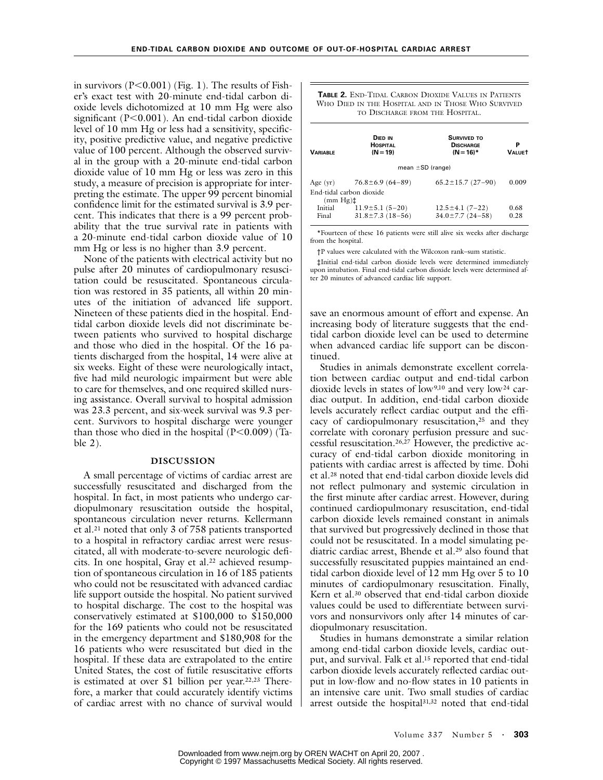in survivors  $(P<0.001)$  (Fig. 1). The results of Fisher's exact test with 20-minute end-tidal carbon dioxide levels dichotomized at 10 mm Hg were also significant ( $P<0.001$ ). An end-tidal carbon dioxide level of 10 mm Hg or less had a sensitivity, specificity, positive predictive value, and negative predictive value of 100 percent. Although the observed survival in the group with a 20-minute end-tidal carbon dioxide value of 10 mm Hg or less was zero in this study, a measure of precision is appropriate for interpreting the estimate. The upper 99 percent binomial confidence limit for the estimated survival is 3.9 percent. This indicates that there is a 99 percent probability that the true survival rate in patients with a 20-minute end-tidal carbon dioxide value of 10 mm Hg or less is no higher than 3.9 percent.

None of the patients with electrical activity but no pulse after 20 minutes of cardiopulmonary resuscitation could be resuscitated. Spontaneous circulation was restored in 35 patients, all within 20 minutes of the initiation of advanced life support. Nineteen of these patients died in the hospital. Endtidal carbon dioxide levels did not discriminate between patients who survived to hospital discharge and those who died in the hospital. Of the 16 patients discharged from the hospital, 14 were alive at six weeks. Eight of these were neurologically intact, five had mild neurologic impairment but were able to care for themselves, and one required skilled nursing assistance. Overall survival to hospital admission was 23.3 percent, and six-week survival was 9.3 percent. Survivors to hospital discharge were younger than those who died in the hospital  $(P<0.009)$  (Table 2).

### **DISCUSSION**

A small percentage of victims of cardiac arrest are successfully resuscitated and discharged from the hospital. In fact, in most patients who undergo cardiopulmonary resuscitation outside the hospital, spontaneous circulation never returns. Kellermann et al.21 noted that only 3 of 758 patients transported to a hospital in refractory cardiac arrest were resuscitated, all with moderate-to-severe neurologic deficits. In one hospital, Gray et al.<sup>22</sup> achieved resumption of spontaneous circulation in 16 of 185 patients who could not be resuscitated with advanced cardiac life support outside the hospital. No patient survived to hospital discharge. The cost to the hospital was conservatively estimated at \$100,000 to \$150,000 for the 169 patients who could not be resuscitated in the emergency department and \$180,908 for the 16 patients who were resuscitated but died in the hospital. If these data are extrapolated to the entire United States, the cost of futile resuscitative efforts is estimated at over \$1 billion per year.<sup>22,23</sup> Therefore, a marker that could accurately identify victims of cardiac arrest with no chance of survival would

| <b>TABLE 2. END-TIDAL CARBON DIOXIDE VALUES IN PATIENTS</b> |  |
|-------------------------------------------------------------|--|
| WHO DIED IN THE HOSPITAL AND IN THOSE WHO SURVIVED          |  |
| TO DISCHARGE FROM THE HOSPITAL.                             |  |

| <b><i>VARIABLE</i></b> | <b>DIED IN</b><br><b>HOSPITAL</b><br>$(N = 19)$ | <b>SURVIVED TO</b><br><b>DISCHARGE</b><br>$(N = 16)^*$ | Р<br><b>VALUET</b> |  |  |
|------------------------|-------------------------------------------------|--------------------------------------------------------|--------------------|--|--|
| mean $\pm$ SD (range)  |                                                 |                                                        |                    |  |  |
| Age $(yr)$             | $76.8 \pm 6.9$ (64-89)                          | $65.2 \pm 15.7$ (27-90)                                | 0.009              |  |  |
|                        | End-tidal carbon dioxide                        |                                                        |                    |  |  |
| $(mm Hg)$ ±            |                                                 |                                                        |                    |  |  |
| Initial                | $11.9 \pm 5.1$ (5-20)                           | $12.5 \pm 4.1 (7 - 22)$                                | 0.68               |  |  |
| Final                  | $31.8 \pm 7.3$ (18-56)                          | $34.0 \pm 7.7$ (24-58)                                 | 0.28               |  |  |
|                        |                                                 |                                                        |                    |  |  |

\*Fourteen of these 16 patients were still alive six weeks after discharge from the hospital.

†P values were calculated with the Wilcoxon rank–sum statistic.

‡Initial end-tidal carbon dioxide levels were determined immediately upon intubation. Final end-tidal carbon dioxide levels were determined after 20 minutes of advanced cardiac life support.

save an enormous amount of effort and expense. An increasing body of literature suggests that the endtidal carbon dioxide level can be used to determine when advanced cardiac life support can be discontinued.

Studies in animals demonstrate excellent correlation between cardiac output and end-tidal carbon dioxide levels in states of low<sup>9,10</sup> and very low<sup>24</sup> cardiac output. In addition, end-tidal carbon dioxide levels accurately reflect cardiac output and the efficacy of cardiopulmonary resuscitation,25 and they correlate with coronary perfusion pressure and successful resuscitation.26,27 However, the predictive accuracy of end-tidal carbon dioxide monitoring in patients with cardiac arrest is affected by time. Dohi et al.28 noted that end-tidal carbon dioxide levels did not reflect pulmonary and systemic circulation in the first minute after cardiac arrest. However, during continued cardiopulmonary resuscitation, end-tidal carbon dioxide levels remained constant in animals that survived but progressively declined in those that could not be resuscitated. In a model simulating pediatric cardiac arrest, Bhende et al.29 also found that successfully resuscitated puppies maintained an endtidal carbon dioxide level of 12 mm Hg over 5 to 10 minutes of cardiopulmonary resuscitation. Finally, Kern et al.30 observed that end-tidal carbon dioxide values could be used to differentiate between survivors and nonsurvivors only after 14 minutes of cardiopulmonary resuscitation.

Studies in humans demonstrate a similar relation among end-tidal carbon dioxide levels, cardiac output, and survival. Falk et al.15 reported that end-tidal carbon dioxide levels accurately reflected cardiac output in low-flow and no-flow states in 10 patients in an intensive care unit. Two small studies of cardiac arrest outside the hospital<sup>31,32</sup> noted that end-tidal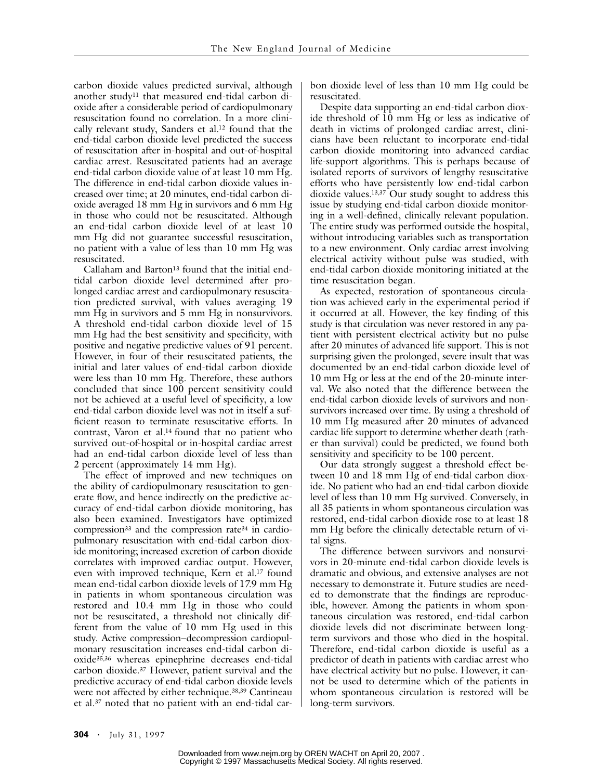carbon dioxide values predicted survival, although another study11 that measured end-tidal carbon dioxide after a considerable period of cardiopulmonary resuscitation found no correlation. In a more clinically relevant study, Sanders et al.<sup>12</sup> found that the end-tidal carbon dioxide level predicted the success of resuscitation after in-hospital and out-of-hospital cardiac arrest. Resuscitated patients had an average end-tidal carbon dioxide value of at least 10 mm Hg. The difference in end-tidal carbon dioxide values increased over time; at 20 minutes, end-tidal carbon dioxide averaged 18 mm Hg in survivors and 6 mm Hg in those who could not be resuscitated. Although an end-tidal carbon dioxide level of at least 10 mm Hg did not guarantee successful resuscitation, no patient with a value of less than 10 mm Hg was resuscitated.

Callaham and Barton<sup>13</sup> found that the initial endtidal carbon dioxide level determined after prolonged cardiac arrest and cardiopulmonary resuscitation predicted survival, with values averaging 19 mm Hg in survivors and 5 mm Hg in nonsurvivors. A threshold end-tidal carbon dioxide level of 15 mm Hg had the best sensitivity and specificity, with positive and negative predictive values of 91 percent. However, in four of their resuscitated patients, the initial and later values of end-tidal carbon dioxide were less than 10 mm Hg. Therefore, these authors concluded that since 100 percent sensitivity could not be achieved at a useful level of specificity, a low end-tidal carbon dioxide level was not in itself a sufficient reason to terminate resuscitative efforts. In contrast, Varon et al.<sup>14</sup> found that no patient who survived out-of-hospital or in-hospital cardiac arrest had an end-tidal carbon dioxide level of less than 2 percent (approximately 14 mm Hg).

The effect of improved and new techniques on the ability of cardiopulmonary resuscitation to generate flow, and hence indirectly on the predictive accuracy of end-tidal carbon dioxide monitoring, has also been examined. Investigators have optimized compression $33$  and the compression rate  $34$  in cardiopulmonary resuscitation with end-tidal carbon dioxide monitoring; increased excretion of carbon dioxide correlates with improved cardiac output. However, even with improved technique, Kern et al.17 found mean end-tidal carbon dioxide levels of 17.9 mm Hg in patients in whom spontaneous circulation was restored and 10.4 mm Hg in those who could not be resuscitated, a threshold not clinically different from the value of 10 mm Hg used in this study. Active compression–decompression cardiopulmonary resuscitation increases end-tidal carbon dioxide35,36 whereas epinephrine decreases end-tidal carbon dioxide.37 However, patient survival and the predictive accuracy of end-tidal carbon dioxide levels were not affected by either technique.38,39 Cantineau et al.37 noted that no patient with an end-tidal car-

bon dioxide level of less than 10 mm Hg could be resuscitated.

Despite data supporting an end-tidal carbon dioxide threshold of 10 mm Hg or less as indicative of death in victims of prolonged cardiac arrest, clinicians have been reluctant to incorporate end-tidal carbon dioxide monitoring into advanced cardiac life-support algorithms. This is perhaps because of isolated reports of survivors of lengthy resuscitative efforts who have persistently low end-tidal carbon dioxide values.13,37 Our study sought to address this issue by studying end-tidal carbon dioxide monitoring in a well-defined, clinically relevant population. The entire study was performed outside the hospital, without introducing variables such as transportation to a new environment. Only cardiac arrest involving electrical activity without pulse was studied, with end-tidal carbon dioxide monitoring initiated at the time resuscitation began.

As expected, restoration of spontaneous circulation was achieved early in the experimental period if it occurred at all. However, the key finding of this study is that circulation was never restored in any patient with persistent electrical activity but no pulse after 20 minutes of advanced life support. This is not surprising given the prolonged, severe insult that was documented by an end-tidal carbon dioxide level of 10 mm Hg or less at the end of the 20-minute interval. We also noted that the difference between the end-tidal carbon dioxide levels of survivors and nonsurvivors increased over time. By using a threshold of 10 mm Hg measured after 20 minutes of advanced cardiac life support to determine whether death (rather than survival) could be predicted, we found both sensitivity and specificity to be 100 percent.

Our data strongly suggest a threshold effect between 10 and 18 mm Hg of end-tidal carbon dioxide. No patient who had an end-tidal carbon dioxide level of less than 10 mm Hg survived. Conversely, in all 35 patients in whom spontaneous circulation was restored, end-tidal carbon dioxide rose to at least 18 mm Hg before the clinically detectable return of vital signs.

The difference between survivors and nonsurvivors in 20-minute end-tidal carbon dioxide levels is dramatic and obvious, and extensive analyses are not necessary to demonstrate it. Future studies are needed to demonstrate that the findings are reproducible, however. Among the patients in whom spontaneous circulation was restored, end-tidal carbon dioxide levels did not discriminate between longterm survivors and those who died in the hospital. Therefore, end-tidal carbon dioxide is useful as a predictor of death in patients with cardiac arrest who have electrical activity but no pulse. However, it cannot be used to determine which of the patients in whom spontaneous circulation is restored will be long-term survivors.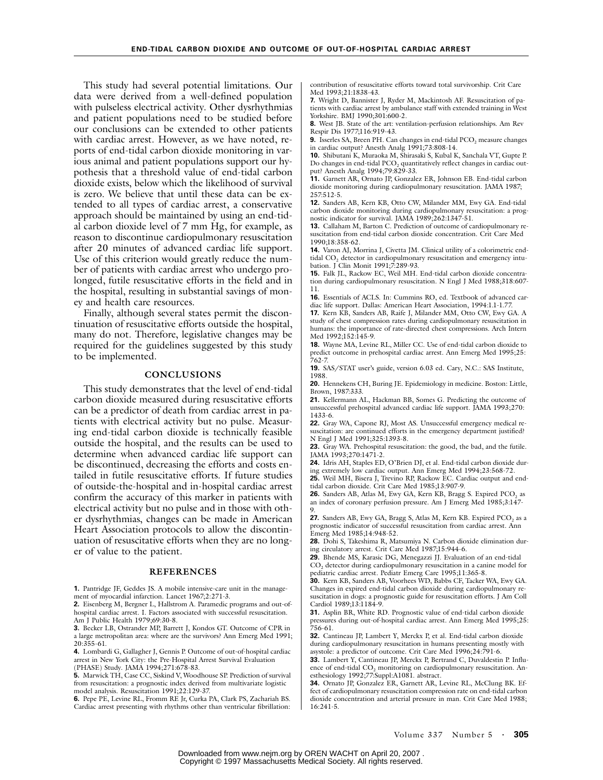This study had several potential limitations. Our data were derived from a well-defined population with pulseless electrical activity. Other dysrhythmias and patient populations need to be studied before our conclusions can be extended to other patients with cardiac arrest. However, as we have noted, reports of end-tidal carbon dioxide monitoring in various animal and patient populations support our hypothesis that a threshold value of end-tidal carbon dioxide exists, below which the likelihood of survival is zero. We believe that until these data can be extended to all types of cardiac arrest, a conservative approach should be maintained by using an end-tidal carbon dioxide level of 7 mm Hg, for example, as reason to discontinue cardiopulmonary resuscitation after 20 minutes of advanced cardiac life support. Use of this criterion would greatly reduce the number of patients with cardiac arrest who undergo prolonged, futile resuscitative efforts in the field and in the hospital, resulting in substantial savings of money and health care resources.

Finally, although several states permit the discontinuation of resuscitative efforts outside the hospital, many do not. Therefore, legislative changes may be required for the guidelines suggested by this study to be implemented.

### **CONCLUSIONS**

This study demonstrates that the level of end-tidal carbon dioxide measured during resuscitative efforts can be a predictor of death from cardiac arrest in patients with electrical activity but no pulse. Measuring end-tidal carbon dioxide is technically feasible outside the hospital, and the results can be used to determine when advanced cardiac life support can be discontinued, decreasing the efforts and costs entailed in futile resuscitative efforts. If future studies of outside-the-hospital and in-hospital cardiac arrest confirm the accuracy of this marker in patients with electrical activity but no pulse and in those with other dysrhythmias, changes can be made in American Heart Association protocols to allow the discontinuation of resuscitative efforts when they are no longer of value to the patient.

#### **REFERENCES**

**1.** Pantridge JF, Geddes JS. A mobile intensive-care unit in the management of myocardial infarction. Lancet 1967;2:271-3.

**2.** Eisenberg M, Bergner L, Hallstrom A. Paramedic programs and out-ofhospital cardiac arrest. I. Factors associated with successful resuscitation. Am J Public Health 1979;69:30-8.

**3.** Becker LB, Ostrander MP, Barrett J, Kondos GT. Outcome of CPR in a large metropolitan area: where are the survivors? Ann Emerg Med 1991; 20:355-61.

**4.** Lombardi G, Gallagher J, Gennis P. Outcome of out-of-hospital cardiac arrest in New York City: the Pre-Hospital Arrest Survival Evaluation (PHASE) Study. JAMA 1994;271:678-83.

**5.** Marwick TH, Case CC, Siskind V, Woodhouse SP. Prediction of survival from resuscitation: a prognostic index derived from multivariate logistic model analysis. Resuscitation 1991;22:129-37.

**6.** Pepe PE, Levine RL, Fromm RE Jr, Curka PA, Clark PS, Zachariah BS. Cardiac arrest presenting with rhythms other than ventricular fibrillation: contribution of resuscitative efforts toward total survivorship. Crit Care Med 1993:21:1838-43.

**7.** Wright D, Bannister J, Ryder M, Mackintosh AF. Resuscitation of patients with cardiac arrest by ambulance staff with extended training in West Yorkshire. BMJ 1990;301:600-2.

**8.** West JB. State of the art: ventilation-perfusion relationships. Am Rev Respir Dis 1977;116:919-43.

**9.** Isserles SA, Breen PH. Can changes in end-tidal PCO<sub>2</sub> measure changes in cardiac output? Anesth Analg 1991;73:808-14.

**10.** Shibutani K, Muraoka M, Shirasaki S, Kubal K, Sanchala VT, Gupte P. Do changes in end-tidal PCO<sub>2</sub> quantitatively reflect changes in cardiac output? Anesth Analg 1994;79:829-33.

**11.** Garnett AR, Ornato JP, Gonzalez ER, Johnson EB. End-tidal carbon dioxide monitoring during cardiopulmonary resuscitation. JAMA 1987; 257:512-5.

**12.** Sanders AB, Kern KB, Otto CW, Milander MM, Ewy GA. End-tidal carbon dioxide monitoring during cardiopulmonary resuscitation: a prognostic indicator for survival. JAMA 1989;262:1347-51.

**13.** Callaham M, Barton C. Prediction of outcome of cardiopulmonary resuscitation from end-tidal carbon dioxide concentration. Crit Care Med 1990;18:358-62.

**14.** Varon AJ, Morrina J, Civetta JM. Clinical utility of a colorimetric endtidal CO<sub>2</sub> detector in cardiopulmonary resuscitation and emergency intubation. J Clin Monit 1991;7:289-93.

**15.** Falk JL, Rackow EC, Weil MH. End-tidal carbon dioxide concentration during cardiopulmonary resuscitation. N Engl J Med 1988;318:607- 11.

**16.** Essentials of ACLS. In: Cummins RO, ed. Textbook of advanced cardiac life support. Dallas: American Heart Association, 1994:1.1-1.77.

**17.** Kern KB, Sanders AB, Raife J, Milander MM, Otto CW, Ewy GA. A study of chest compression rates during cardiopulmonary resuscitation in humans: the importance of rate-directed chest compressions. Arch Intern Med 1992;152:145-9.

**18.** Wayne MA, Levine RL, Miller CC. Use of end-tidal carbon dioxide to predict outcome in prehospital cardiac arrest. Ann Emerg Med 1995;25: 762-7.

**19.** SAS/STAT user's guide, version 6.03 ed. Cary, N.C.: SAS Institute, 1988.

**20.** Hennekens CH, Buring JE. Epidemiology in medicine. Boston: Little, Brown, 1987:333.

**21.** Kellermann AL, Hackman BB, Somes G. Predicting the outcome of unsuccessful prehospital advanced cardiac life support. JAMA 1993;270: 1433-6.

**22.** Gray WA, Capone RJ, Most AS. Unsuccessful emergency medical resuscitation: are continued efforts in the emergency department justified? N Engl J Med 1991;325:1393-8.

**23.** Gray WA. Prehospital resuscitation: the good, the bad, and the futile. JAMA 1993;270:1471-2.

**24.** Idris AH, Staples ED, O'Brien DJ, et al. End-tidal carbon dioxide during extremely low cardiac output. Ann Emerg Med 1994;23:568-72.

**25.** Weil MH, Bisera J, Trevino RP, Rackow EC. Cardiac output and endtidal carbon dioxide. Crit Care Med 1985;13:907-9.

26. Sanders AB, Atlas M, Ewy GA, Kern KB, Bragg S. Expired PCO<sub>2</sub> as an index of coronary perfusion pressure. Am J Emerg Med 1985;3:147- 9.

27. Sanders AB, Ewy GA, Bragg S, Atlas M, Kern KB. Expired PCO<sub>2</sub> as a prognostic indicator of successful resuscitation from cardiac arrest. Ann Emerg Med 1985;14:948-52.

**28.** Dohi S, Takeshima R, Matsumiya N. Carbon dioxide elimination during circulatory arrest. Crit Care Med 1987;15:944-6.

**29.** Bhende MS, Karasic DG, Menegazzi JJ. Evaluation of an end-tidal CO<sub>2</sub> detector during cardiopulmonary resuscitation in a canine model for pediatric cardiac arrest. Pediatr Emerg Care 1995;11:365-8.

**30.** Kern KB, Sanders AB, Voorhees WD, Babbs CF, Tacker WA, Ewy GA. Changes in expired end-tidal carbon dioxide during cardiopulmonary resuscitation in dogs: a prognostic guide for resuscitation efforts. J Am Coll Cardiol 1989;13:1184-9.

**31.** Asplin BR, White RD. Prognostic value of end-tidal carbon dioxide pressures during out-of-hospital cardiac arrest. Ann Emerg Med 1995;25: 756-61.

**32.** Cantineau JP, Lambert Y, Merckx P, et al. End-tidal carbon dioxide during cardiopulmonary resuscitation in humans presenting mostly with asystole: a predictor of outcome. Crit Care Med 1996;24:791-6.

**33.** Lambert Y, Cantineau JP, Merckx P, Bertrand C, Duvaldestin P. Influence of end-tidal CO<sub>2</sub> monitoring on cardiopulmonary resuscitation. Anesthesiology 1992;77:Suppl:A1081. abstract.

**34.** Ornato JP, Gonzalez ER, Garnett AR, Levine RL, McClung BK. Effect of cardiopulmonary resuscitation compression rate on end-tidal carbon dioxide concentration and arterial pressure in man. Crit Care Med 1988; 16:241-5.